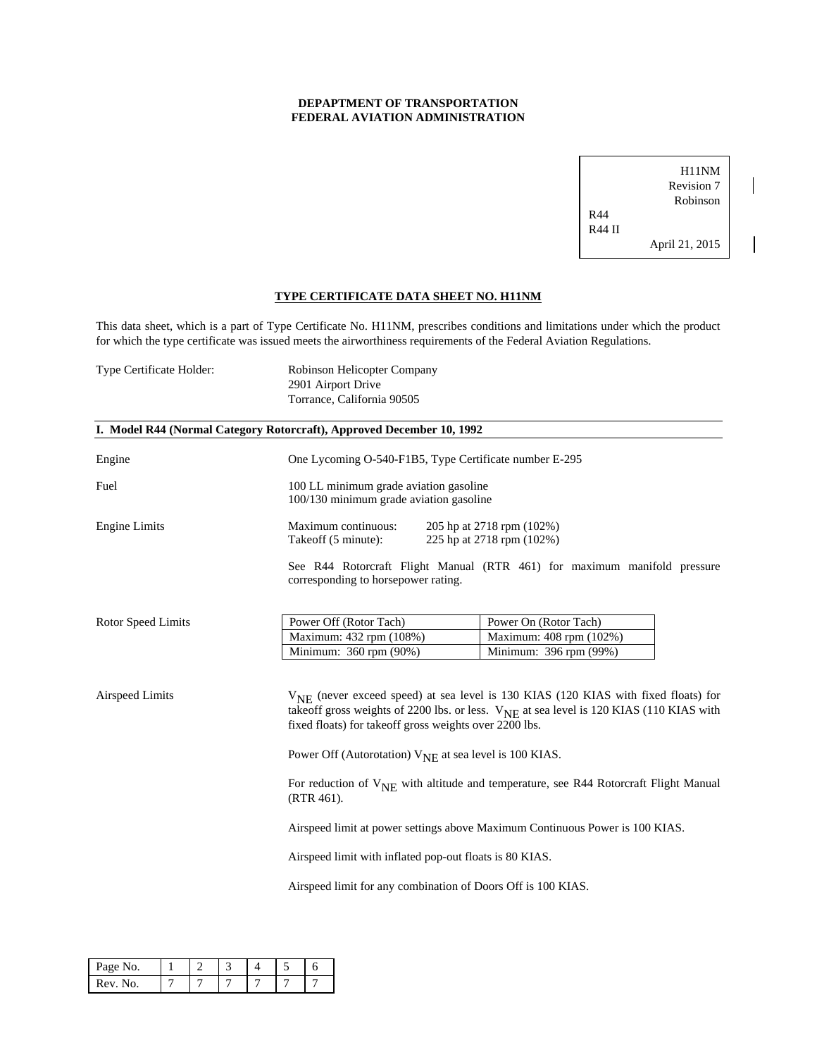# **DEPAPTMENT OF TRANSPORTATION FEDERAL AVIATION ADMINISTRATION**

H11NM Revision 7 Robinson R44 R44 II April 21, 2015

 $\overline{\phantom{a}}$ 

 $\overline{\phantom{a}}$ 

## **TYPE CERTIFICATE DATA SHEET NO. H11NM**

This data sheet, which is a part of Type Certificate No. H11NM, prescribes conditions and limitations under which the product for which the type certificate was issued meets the airworthiness requirements of the Federal Aviation Regulations.

| Type Certificate Holder: | Robinson Helicopter Company<br>2901 Airport Drive<br>Torrance, California 90505 |                                                                                                                                                                                                                                                                 |  |  |  |  |
|--------------------------|---------------------------------------------------------------------------------|-----------------------------------------------------------------------------------------------------------------------------------------------------------------------------------------------------------------------------------------------------------------|--|--|--|--|
|                          | I. Model R44 (Normal Category Rotorcraft), Approved December 10, 1992           |                                                                                                                                                                                                                                                                 |  |  |  |  |
| Engine                   |                                                                                 | One Lycoming O-540-F1B5, Type Certificate number E-295                                                                                                                                                                                                          |  |  |  |  |
| Fuel                     |                                                                                 | 100 LL minimum grade aviation gasoline<br>100/130 minimum grade aviation gasoline                                                                                                                                                                               |  |  |  |  |
| <b>Engine Limits</b>     | Maximum continuous:<br>Takeoff (5 minute):                                      | 205 hp at 2718 rpm (102%)<br>225 hp at 2718 rpm (102%)                                                                                                                                                                                                          |  |  |  |  |
|                          | corresponding to horsepower rating.                                             | See R44 Rotorcraft Flight Manual (RTR 461) for maximum manifold pressure                                                                                                                                                                                        |  |  |  |  |
| Rotor Speed Limits       | Power Off (Rotor Tach)                                                          | Power On (Rotor Tach)                                                                                                                                                                                                                                           |  |  |  |  |
|                          | Maximum: 432 rpm (108%)                                                         | Maximum: 408 rpm (102%)                                                                                                                                                                                                                                         |  |  |  |  |
|                          | Minimum: 360 rpm (90%)                                                          | Minimum: 396 rpm (99%)                                                                                                                                                                                                                                          |  |  |  |  |
| Airspeed Limits          |                                                                                 | V <sub>NE</sub> (never exceed speed) at sea level is 130 KIAS (120 KIAS with fixed floats) for<br>takeoff gross weights of 2200 lbs. or less. V <sub>NE</sub> at sea level is 120 KIAS (110 KIAS with<br>fixed floats) for takeoff gross weights over 2200 lbs. |  |  |  |  |
|                          |                                                                                 | Power Off (Autorotation) $V_{NE}$ at sea level is 100 KIAS.                                                                                                                                                                                                     |  |  |  |  |
|                          | $(RTR 461)$ .                                                                   | For reduction of $V_{\text{NE}}$ with altitude and temperature, see R44 Rotorcraft Flight Manual                                                                                                                                                                |  |  |  |  |
|                          |                                                                                 | Airspeed limit at power settings above Maximum Continuous Power is 100 KIAS.                                                                                                                                                                                    |  |  |  |  |
|                          |                                                                                 | Airspeed limit with inflated pop-out floats is 80 KIAS.                                                                                                                                                                                                         |  |  |  |  |
|                          | Airspeed limit for any combination of Doors Off is 100 KIAS.                    |                                                                                                                                                                                                                                                                 |  |  |  |  |

| Page No.   |  |  |  |
|------------|--|--|--|
| Rev.<br>Nο |  |  |  |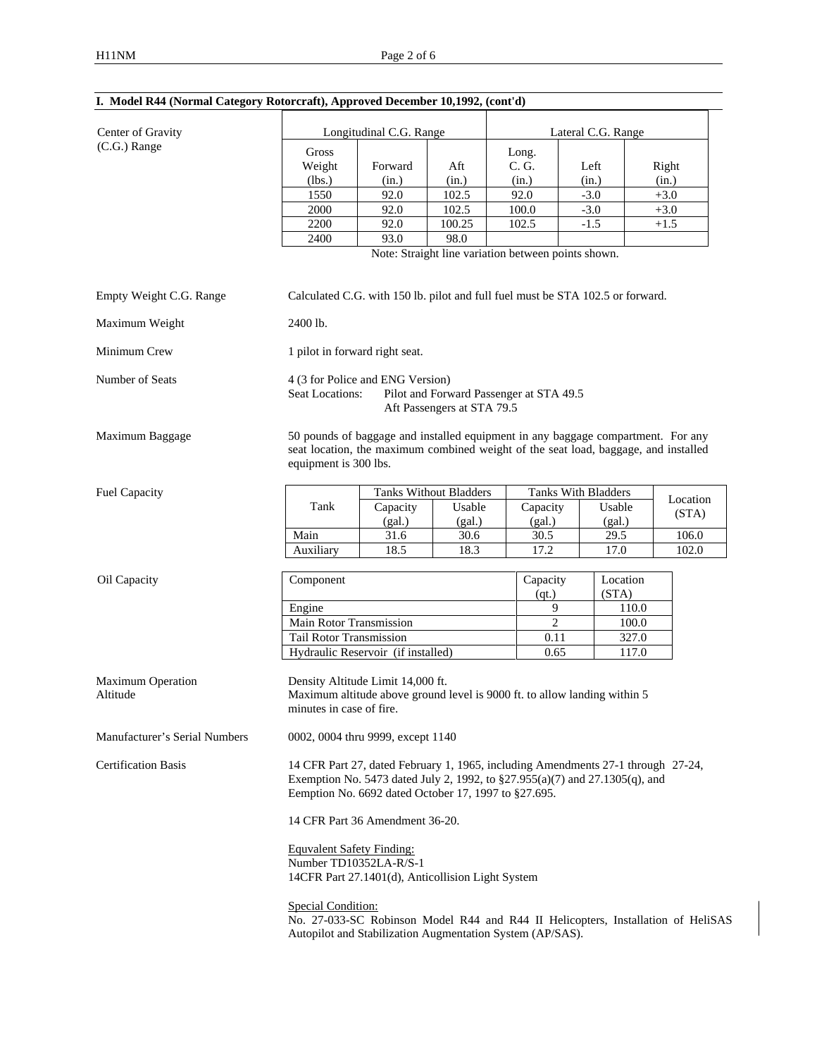| Center of Gravity             |                                                                                                                                                                                                                         | Longitudinal C.G. Range                                                                                                                                                                          |                |                                                     | Lateral C.G. Range  |          |          |  |
|-------------------------------|-------------------------------------------------------------------------------------------------------------------------------------------------------------------------------------------------------------------------|--------------------------------------------------------------------------------------------------------------------------------------------------------------------------------------------------|----------------|-----------------------------------------------------|---------------------|----------|----------|--|
| (C.G.) Range                  | Gross                                                                                                                                                                                                                   |                                                                                                                                                                                                  |                | Long.                                               |                     |          |          |  |
|                               | Weight                                                                                                                                                                                                                  | Forward                                                                                                                                                                                          | Aft            | C. G.                                               | Left                |          | Right    |  |
|                               | (lbs.)                                                                                                                                                                                                                  | (in.)                                                                                                                                                                                            | (in.)          | (in.)                                               | (in.)               |          | (in.)    |  |
|                               | 1550                                                                                                                                                                                                                    | 92.0                                                                                                                                                                                             | 102.5          | 92.0                                                | $-3.0$              |          | $+3.0$   |  |
|                               | 2000                                                                                                                                                                                                                    | 92.0                                                                                                                                                                                             | 102.5          | 100.0                                               | $-3.0$              |          | $+3.0$   |  |
|                               | 2200                                                                                                                                                                                                                    | 92.0                                                                                                                                                                                             | 100.25         | 102.5                                               | $-1.5$              |          | $+1.5$   |  |
|                               | 2400                                                                                                                                                                                                                    | 93.0                                                                                                                                                                                             | 98.0           |                                                     |                     |          |          |  |
|                               |                                                                                                                                                                                                                         |                                                                                                                                                                                                  |                | Note: Straight line variation between points shown. |                     |          |          |  |
| Empty Weight C.G. Range       | Calculated C.G. with 150 lb. pilot and full fuel must be STA 102.5 or forward.                                                                                                                                          |                                                                                                                                                                                                  |                |                                                     |                     |          |          |  |
| Maximum Weight                | 2400 lb.                                                                                                                                                                                                                |                                                                                                                                                                                                  |                |                                                     |                     |          |          |  |
| Minimum Crew                  | 1 pilot in forward right seat.                                                                                                                                                                                          |                                                                                                                                                                                                  |                |                                                     |                     |          |          |  |
| Number of Seats               |                                                                                                                                                                                                                         | 4 (3 for Police and ENG Version)<br>Pilot and Forward Passenger at STA 49.5<br><b>Seat Locations:</b><br>Aft Passengers at STA 79.5                                                              |                |                                                     |                     |          |          |  |
| Maximum Baggage               |                                                                                                                                                                                                                         | 50 pounds of baggage and installed equipment in any baggage compartment. For any<br>seat location, the maximum combined weight of the seat load, baggage, and installed<br>equipment is 300 lbs. |                |                                                     |                     |          |          |  |
| Fuel Capacity                 |                                                                                                                                                                                                                         | <b>Tanks Without Bladders</b>                                                                                                                                                                    |                |                                                     | Tanks With Bladders |          |          |  |
|                               | Tank                                                                                                                                                                                                                    | Capacity                                                                                                                                                                                         | Usable         | Capacity                                            |                     | Usable   | Location |  |
|                               |                                                                                                                                                                                                                         | (gal.)                                                                                                                                                                                           | (gal.)         | (gal.)                                              |                     | (gal.)   | (STA)    |  |
|                               | Main                                                                                                                                                                                                                    | 31.6                                                                                                                                                                                             | 30.6           | 30.5                                                |                     | 29.5     | 106.0    |  |
|                               | Auxiliary                                                                                                                                                                                                               | 18.5                                                                                                                                                                                             | 18.3           | 17.2                                                |                     | 17.0     | 102.0    |  |
|                               |                                                                                                                                                                                                                         |                                                                                                                                                                                                  |                |                                                     |                     |          |          |  |
| Oil Capacity                  | Component                                                                                                                                                                                                               |                                                                                                                                                                                                  |                | Capacity                                            |                     | Location |          |  |
|                               |                                                                                                                                                                                                                         |                                                                                                                                                                                                  |                | (qt.)                                               | (STA)               |          |          |  |
|                               | Engine                                                                                                                                                                                                                  |                                                                                                                                                                                                  | 9              | 110.0                                               |                     |          |          |  |
|                               | Main Rotor Transmission                                                                                                                                                                                                 |                                                                                                                                                                                                  | $\overline{2}$ | 100.0                                               |                     |          |          |  |
|                               | Tail Rotor Transmission                                                                                                                                                                                                 |                                                                                                                                                                                                  |                | 0.11                                                |                     | 327.0    |          |  |
|                               | Hydraulic Reservoir (if installed)                                                                                                                                                                                      |                                                                                                                                                                                                  |                | 0.65                                                |                     | 117.0    |          |  |
| Maximum Operation<br>Altitude |                                                                                                                                                                                                                         | Density Altitude Limit 14,000 ft.<br>Maximum altitude above ground level is 9000 ft. to allow landing within 5<br>minutes in case of fire.                                                       |                |                                                     |                     |          |          |  |
| Manufacturer's Serial Numbers | 0002, 0004 thru 9999, except 1140                                                                                                                                                                                       |                                                                                                                                                                                                  |                |                                                     |                     |          |          |  |
| <b>Certification Basis</b>    | 14 CFR Part 27, dated February 1, 1965, including Amendments 27-1 through 27-24,<br>Exemption No. 5473 dated July 2, 1992, to §27.955(a)(7) and 27.1305(q), and<br>Eemption No. 6692 dated October 17, 1997 to §27.695. |                                                                                                                                                                                                  |                |                                                     |                     |          |          |  |
|                               | 14 CFR Part 36 Amendment 36-20.                                                                                                                                                                                         |                                                                                                                                                                                                  |                |                                                     |                     |          |          |  |
|                               | <b>Equvalent Safety Finding:</b><br>Number TD10352LA-R/S-1<br>14CFR Part 27.1401(d), Anticollision Light System                                                                                                         |                                                                                                                                                                                                  |                |                                                     |                     |          |          |  |
|                               | Special Condition:<br>No. 27-033-SC Robinson Model R44 and R44 II Helicopters, Installation of HeliSAS<br>Autopilot and Stabilization Augmentation System (AP/SAS).                                                     |                                                                                                                                                                                                  |                |                                                     |                     |          |          |  |

# **I. Model R44 (Normal Category Rotorcraft), Approved December 10,1992, (cont'd)**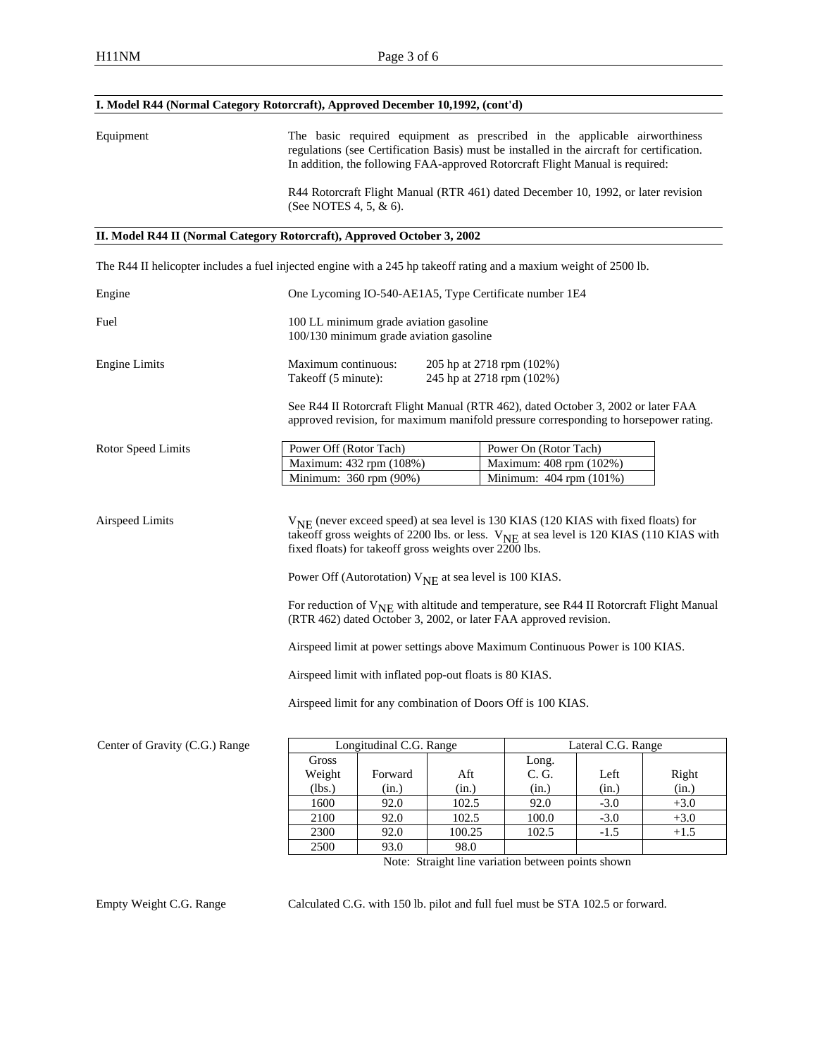### **I. Model R44 (Normal Category Rotorcraft), Approved December 10,1992, (cont'd)**

Equipment The basic required equipment as prescribed in the applicable airworthiness regulations (see Certification Basis) must be installed in the aircraft for certification. In addition, the following FAA-approved Rotorcraft Flight Manual is required:

> R44 Rotorcraft Flight Manual (RTR 461) dated December 10, 1992, or later revision (See NOTES 4, 5, & 6).

#### **II. Model R44 II (Normal Category Rotorcraft), Approved October 3, 2002**

The R44 II helicopter includes a fuel injected engine with a 245 hp takeoff rating and a maxium weight of 2500 lb.

| Engine                         | One Lycoming IO-540-AE1A5, Type Certificate number 1E4                                                                                                                                                                                                                                                                                                                                                                                                                                                                                                                                                                                                                                                               |                         |     |                                                                                                                                                                           |                    |       |
|--------------------------------|----------------------------------------------------------------------------------------------------------------------------------------------------------------------------------------------------------------------------------------------------------------------------------------------------------------------------------------------------------------------------------------------------------------------------------------------------------------------------------------------------------------------------------------------------------------------------------------------------------------------------------------------------------------------------------------------------------------------|-------------------------|-----|---------------------------------------------------------------------------------------------------------------------------------------------------------------------------|--------------------|-------|
| Fuel                           | 100 LL minimum grade aviation gasoline<br>100/130 minimum grade aviation gasoline                                                                                                                                                                                                                                                                                                                                                                                                                                                                                                                                                                                                                                    |                         |     |                                                                                                                                                                           |                    |       |
| <b>Engine Limits</b>           | Maximum continuous:<br>205 hp at 2718 rpm (102%)<br>Takeoff (5 minute):<br>245 hp at 2718 rpm (102%)                                                                                                                                                                                                                                                                                                                                                                                                                                                                                                                                                                                                                 |                         |     |                                                                                                                                                                           |                    |       |
|                                |                                                                                                                                                                                                                                                                                                                                                                                                                                                                                                                                                                                                                                                                                                                      |                         |     | See R44 II Rotorcraft Flight Manual (RTR 462), dated October 3, 2002 or later FAA<br>approved revision, for maximum manifold pressure corresponding to horsepower rating. |                    |       |
| Rotor Speed Limits             | Power Off (Rotor Tach)                                                                                                                                                                                                                                                                                                                                                                                                                                                                                                                                                                                                                                                                                               |                         |     | Power On (Rotor Tach)                                                                                                                                                     |                    |       |
|                                | Maximum: 432 rpm (108%)                                                                                                                                                                                                                                                                                                                                                                                                                                                                                                                                                                                                                                                                                              |                         |     | Maximum: 408 rpm (102%)                                                                                                                                                   |                    |       |
|                                | Minimum: 360 rpm (90%)                                                                                                                                                                                                                                                                                                                                                                                                                                                                                                                                                                                                                                                                                               |                         |     | Minimum: 404 rpm (101%)                                                                                                                                                   |                    |       |
|                                | $V_{NE}$ (never exceed speed) at sea level is 130 KIAS (120 KIAS with fixed floats) for<br>takeoff gross weights of 2200 lbs. or less. V <sub>NE</sub> at sea level is 120 KIAS (110 KIAS with<br>fixed floats) for takeoff gross weights over 2200 lbs.<br>Power Off (Autorotation) $V_{\text{NE}}$ at sea level is 100 KIAS.<br>For reduction of $V_{\text{NE}}$ with altitude and temperature, see R44 II Rotorcraft Flight Manual<br>(RTR 462) dated October 3, 2002, or later FAA approved revision.<br>Airspeed limit at power settings above Maximum Continuous Power is 100 KIAS.<br>Airspeed limit with inflated pop-out floats is 80 KIAS.<br>Airspeed limit for any combination of Doors Off is 100 KIAS. |                         |     |                                                                                                                                                                           |                    |       |
|                                |                                                                                                                                                                                                                                                                                                                                                                                                                                                                                                                                                                                                                                                                                                                      |                         |     |                                                                                                                                                                           |                    |       |
| Center of Gravity (C.G.) Range | Gross                                                                                                                                                                                                                                                                                                                                                                                                                                                                                                                                                                                                                                                                                                                | Longitudinal C.G. Range |     |                                                                                                                                                                           | Lateral C.G. Range |       |
|                                | Weight                                                                                                                                                                                                                                                                                                                                                                                                                                                                                                                                                                                                                                                                                                               | Forward                 | Aft | Long.<br>C. G.                                                                                                                                                            | Left               | Right |

(in.)

(lbs.)

| 1600 | 92.0 | 102.5  | 92.0  | $-3.0$ |     |
|------|------|--------|-------|--------|-----|
| 2100 | 92.0 | 102.5  | 100.0 | $-3.0$ |     |
| 2300 | 92.0 | 100.25 | 102.5 | -1.3   | ⊺⊥. |
| 2500 | 93.0 | 98.0   |       |        |     |

(in.)

(in.)

(in.)

Note: Straight line variation between points shown

Empty Weight C.G. Range Calculated C.G. with 150 lb. pilot and full fuel must be STA 102.5 or forward.

(in.)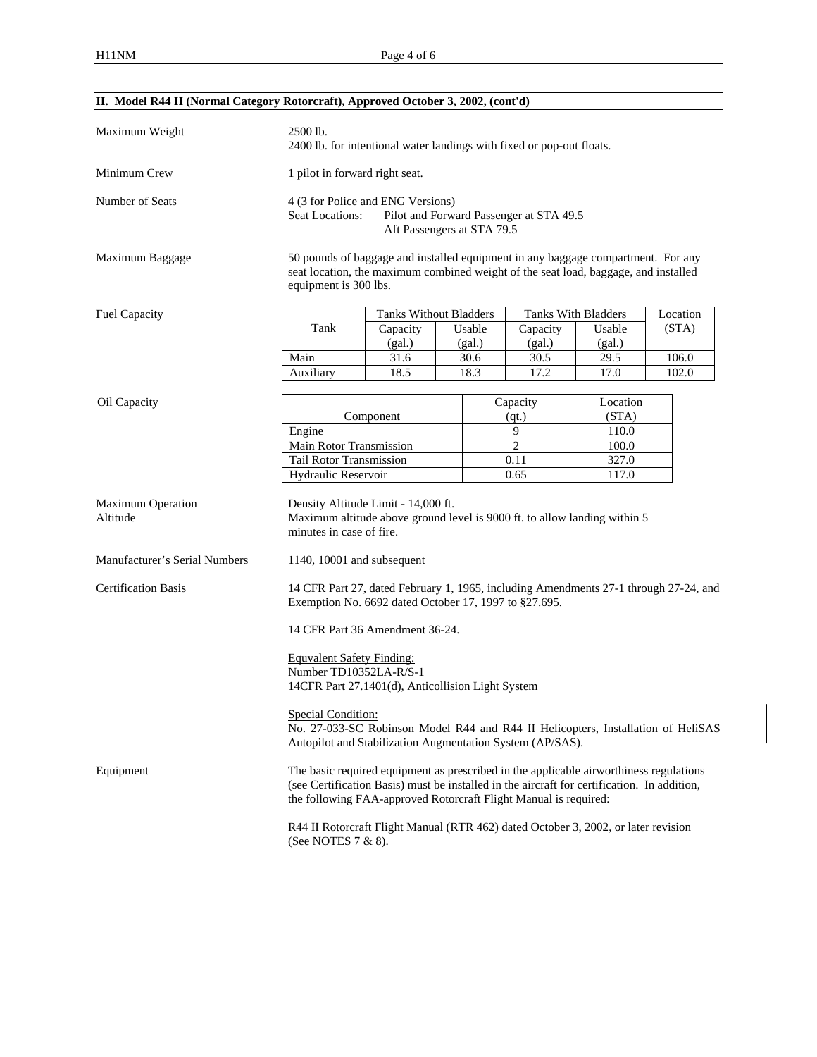| II. Model R44 II (Normal Category Rotorcraft), Approved October 3, 2002, (cont'd) |                                                                                                                                                                                                                                                           |                                                                                                          |        |                     |          |          |  |
|-----------------------------------------------------------------------------------|-----------------------------------------------------------------------------------------------------------------------------------------------------------------------------------------------------------------------------------------------------------|----------------------------------------------------------------------------------------------------------|--------|---------------------|----------|----------|--|
| Maximum Weight                                                                    | 2500 lb.<br>2400 lb. for intentional water landings with fixed or pop-out floats.                                                                                                                                                                         |                                                                                                          |        |                     |          |          |  |
| Minimum Crew                                                                      | 1 pilot in forward right seat.                                                                                                                                                                                                                            |                                                                                                          |        |                     |          |          |  |
| Number of Seats                                                                   | 4 (3 for Police and ENG Versions)<br>Seat Locations:<br>Pilot and Forward Passenger at STA 49.5<br>Aft Passengers at STA 79.5                                                                                                                             |                                                                                                          |        |                     |          |          |  |
| Maximum Baggage                                                                   | 50 pounds of baggage and installed equipment in any baggage compartment. For any<br>seat location, the maximum combined weight of the seat load, baggage, and installed<br>equipment is 300 lbs.                                                          |                                                                                                          |        |                     |          |          |  |
| Fuel Capacity                                                                     |                                                                                                                                                                                                                                                           | <b>Tanks Without Bladders</b>                                                                            |        | Tanks With Bladders |          | Location |  |
|                                                                                   | Tank                                                                                                                                                                                                                                                      | Capacity                                                                                                 | Usable | Capacity            | Usable   | (STA)    |  |
|                                                                                   |                                                                                                                                                                                                                                                           | (gal.)                                                                                                   | (gal.) | (gal.)              | (gal.)   |          |  |
|                                                                                   | Main                                                                                                                                                                                                                                                      | 31.6                                                                                                     | 30.6   | 30.5                | 29.5     | 106.0    |  |
|                                                                                   | Auxiliary                                                                                                                                                                                                                                                 | 18.5                                                                                                     | 18.3   | 17.2                | 17.0     | 102.0    |  |
|                                                                                   |                                                                                                                                                                                                                                                           |                                                                                                          |        |                     |          |          |  |
| Oil Capacity                                                                      |                                                                                                                                                                                                                                                           |                                                                                                          |        | Capacity            | Location |          |  |
|                                                                                   |                                                                                                                                                                                                                                                           | Component                                                                                                |        | (qt.)               | (STA)    |          |  |
|                                                                                   | Engine                                                                                                                                                                                                                                                    |                                                                                                          |        | 9                   | 110.0    |          |  |
|                                                                                   | Main Rotor Transmission                                                                                                                                                                                                                                   |                                                                                                          |        | $\overline{c}$      | 100.0    |          |  |
|                                                                                   | Tail Rotor Transmission                                                                                                                                                                                                                                   |                                                                                                          |        | 0.11                | 327.0    |          |  |
|                                                                                   | Hydraulic Reservoir                                                                                                                                                                                                                                       |                                                                                                          |        | 0.65                | 117.0    |          |  |
| <b>Maximum Operation</b><br>Altitude                                              | Density Altitude Limit - 14,000 ft.<br>Maximum altitude above ground level is 9000 ft. to allow landing within 5<br>minutes in case of fire.                                                                                                              |                                                                                                          |        |                     |          |          |  |
| Manufacturer's Serial Numbers                                                     | 1140, 10001 and subsequent                                                                                                                                                                                                                                |                                                                                                          |        |                     |          |          |  |
| <b>Certification Basis</b>                                                        | 14 CFR Part 27, dated February 1, 1965, including Amendments 27-1 through 27-24, and<br>Exemption No. 6692 dated October 17, 1997 to §27.695.                                                                                                             |                                                                                                          |        |                     |          |          |  |
|                                                                                   |                                                                                                                                                                                                                                                           | 14 CFR Part 36 Amendment 36-24.                                                                          |        |                     |          |          |  |
|                                                                                   | <b>Equvalent Safety Finding:</b><br>Number TD10352LA-R/S-1<br>14CFR Part 27.1401(d), Anticollision Light System                                                                                                                                           |                                                                                                          |        |                     |          |          |  |
|                                                                                   | Special Condition:<br>No. 27-033-SC Robinson Model R44 and R44 II Helicopters, Installation of HeliSAS<br>Autopilot and Stabilization Augmentation System (AP/SAS).                                                                                       |                                                                                                          |        |                     |          |          |  |
| Equipment                                                                         | The basic required equipment as prescribed in the applicable airworthiness regulations<br>(see Certification Basis) must be installed in the aircraft for certification. In addition,<br>the following FAA-approved Rotorcraft Flight Manual is required: |                                                                                                          |        |                     |          |          |  |
|                                                                                   |                                                                                                                                                                                                                                                           | R44 II Rotorcraft Flight Manual (RTR 462) dated October 3, 2002, or later revision<br>(See NOTES 7 & 8). |        |                     |          |          |  |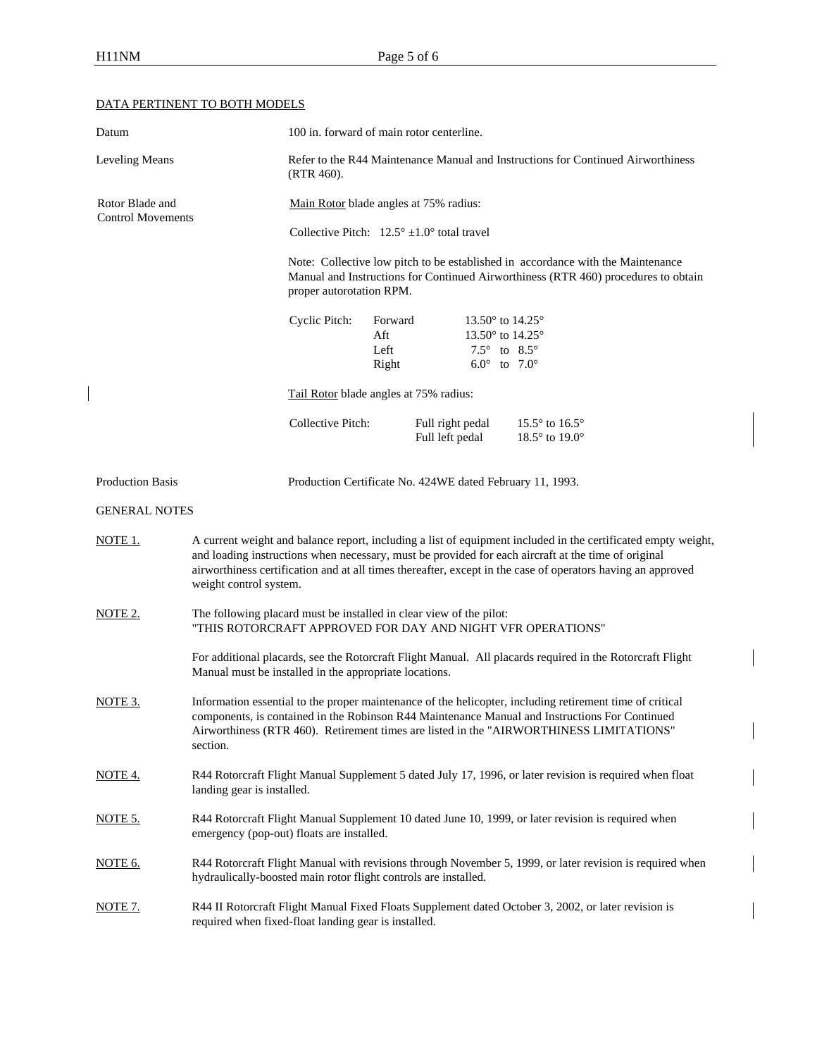$\overline{\phantom{a}}$ 

# DATA PERTINENT TO BOTH MODELS

| Datum                    |                                                        | 100 in. forward of main rotor centerline.                                                                                                                                                                                                                                                                                           |                                 |                                     |                                                                                                                                |                                                                                                           |  |
|--------------------------|--------------------------------------------------------|-------------------------------------------------------------------------------------------------------------------------------------------------------------------------------------------------------------------------------------------------------------------------------------------------------------------------------------|---------------------------------|-------------------------------------|--------------------------------------------------------------------------------------------------------------------------------|-----------------------------------------------------------------------------------------------------------|--|
| Leveling Means           |                                                        | Refer to the R44 Maintenance Manual and Instructions for Continued Airworthiness<br>$(RTR 460)$ .                                                                                                                                                                                                                                   |                                 |                                     |                                                                                                                                |                                                                                                           |  |
| Rotor Blade and          |                                                        | Main Rotor blade angles at 75% radius:                                                                                                                                                                                                                                                                                              |                                 |                                     |                                                                                                                                |                                                                                                           |  |
| <b>Control Movements</b> |                                                        | Collective Pitch: $12.5^{\circ} \pm 1.0^{\circ}$ total travel                                                                                                                                                                                                                                                                       |                                 |                                     |                                                                                                                                |                                                                                                           |  |
|                          |                                                        | Note: Collective low pitch to be established in accordance with the Maintenance<br>Manual and Instructions for Continued Airworthiness (RTR 460) procedures to obtain<br>proper autorotation RPM.                                                                                                                                   |                                 |                                     |                                                                                                                                |                                                                                                           |  |
|                          |                                                        | Cyclic Pitch:                                                                                                                                                                                                                                                                                                                       | Forward<br>Aft<br>Left<br>Right |                                     | 13.50 $^{\circ}$ to 14.25 $^{\circ}$<br>13.50° to 14.25°<br>7.5 $^{\circ}$ to 8.5 $^{\circ}$<br>$6.0^{\circ}$ to $7.0^{\circ}$ |                                                                                                           |  |
|                          |                                                        | Tail Rotor blade angles at 75% radius:                                                                                                                                                                                                                                                                                              |                                 |                                     |                                                                                                                                |                                                                                                           |  |
|                          |                                                        | Collective Pitch:                                                                                                                                                                                                                                                                                                                   |                                 | Full right pedal<br>Full left pedal |                                                                                                                                | 15.5 $\degree$ to 16.5 $\degree$<br>18.5° to 19.0°                                                        |  |
| Production Basis         |                                                        | Production Certificate No. 424WE dated February 11, 1993.                                                                                                                                                                                                                                                                           |                                 |                                     |                                                                                                                                |                                                                                                           |  |
| <b>GENERAL NOTES</b>     |                                                        |                                                                                                                                                                                                                                                                                                                                     |                                 |                                     |                                                                                                                                |                                                                                                           |  |
| NOTE 1.                  | weight control system.                                 | A current weight and balance report, including a list of equipment included in the certificated empty weight,<br>and loading instructions when necessary, must be provided for each aircraft at the time of original<br>airworthiness certification and at all times thereafter, except in the case of operators having an approved |                                 |                                     |                                                                                                                                |                                                                                                           |  |
| NOTE 2.                  |                                                        | The following placard must be installed in clear view of the pilot:<br>"THIS ROTORCRAFT APPROVED FOR DAY AND NIGHT VFR OPERATIONS"                                                                                                                                                                                                  |                                 |                                     |                                                                                                                                |                                                                                                           |  |
|                          | Manual must be installed in the appropriate locations. |                                                                                                                                                                                                                                                                                                                                     |                                 |                                     |                                                                                                                                | For additional placards, see the Rotorcraft Flight Manual. All placards required in the Rotorcraft Flight |  |
| NOTE 3.                  | section.                                               | Information essential to the proper maintenance of the helicopter, including retirement time of critical<br>components, is contained in the Robinson R44 Maintenance Manual and Instructions For Continued<br>Airworthiness (RTR 460). Retirement times are listed in the "AIRWORTHINESS LIMITATIONS"                               |                                 |                                     |                                                                                                                                |                                                                                                           |  |
| <u>NOTE 4.</u>           |                                                        | R44 Rotorcraft Flight Manual Supplement 5 dated July 17, 1996, or later revision is required when float<br>landing gear is installed.                                                                                                                                                                                               |                                 |                                     |                                                                                                                                |                                                                                                           |  |
| NOTE 5.                  | emergency (pop-out) floats are installed.              |                                                                                                                                                                                                                                                                                                                                     |                                 |                                     |                                                                                                                                | R44 Rotorcraft Flight Manual Supplement 10 dated June 10, 1999, or later revision is required when        |  |
| NOTE 6.                  |                                                        | R44 Rotorcraft Flight Manual with revisions through November 5, 1999, or later revision is required when<br>hydraulically-boosted main rotor flight controls are installed.                                                                                                                                                         |                                 |                                     |                                                                                                                                |                                                                                                           |  |
| <u>NOTE 7.</u>           |                                                        | R44 II Rotorcraft Flight Manual Fixed Floats Supplement dated October 3, 2002, or later revision is<br>required when fixed-float landing gear is installed.                                                                                                                                                                         |                                 |                                     |                                                                                                                                |                                                                                                           |  |